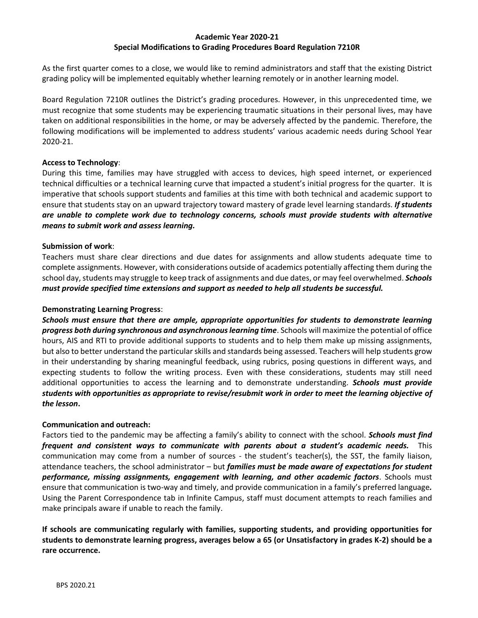### **Academic Year 2020-21 Special Modifications to Grading Procedures Board Regulation 7210R**

As the first quarter comes to a close, we would like to remind administrators and staff that the existing District grading policy will be implemented equitably whether learning remotely or in another learning model.

Board Regulation 7210R outlines the District's grading procedures. However, in this unprecedented time, we must recognize that some students may be experiencing traumatic situations in their personal lives, may have taken on additional responsibilities in the home, or may be adversely affected by the pandemic. Therefore, the following modifications will be implemented to address students' various academic needs during School Year 2020-21.

### **Access to Technology**:

During this time, families may have struggled with access to devices, high speed internet, or experienced technical difficulties or a technical learning curve that impacted a student's initial progress for the quarter. It is imperative that schools support students and families at this time with both technical and academic support to ensure that students stay on an upward trajectory toward mastery of grade level learning standards. *If students are unable to complete work due to technology concerns, schools must provide students with alternative means to submit work and assess learning.* 

# **Submission of work**:

Teachers must share clear directions and due dates for assignments and allow students adequate time to complete assignments. However, with considerations outside of academics potentially affecting them during the school day, students may struggle to keep track of assignments and due dates, or may feel overwhelmed. *Schools must provide specified time extensions and support as needed to help all students be successful.* 

## **Demonstrating Learning Progress**:

*Schools must ensure that there are ample, appropriate opportunities for students to demonstrate learning progress both during synchronous and asynchronous learning time*. Schools will maximize the potential of office hours, AIS and RTI to provide additional supports to students and to help them make up missing assignments, but also to better understand the particular skills and standards being assessed. Teachers will help students grow in their understanding by sharing meaningful feedback, using rubrics, posing questions in different ways, and expecting students to follow the writing process. Even with these considerations, students may still need additional opportunities to access the learning and to demonstrate understanding. *Schools must provide students with opportunities as appropriate to revise/resubmit work in order to meet the learning objective of the lesson***.** 

### **Communication and outreach:**

Factors tied to the pandemic may be affecting a family's ability to connect with the school. *Schools must find frequent and consistent ways to communicate with parents about a student's academic needs.* This communication may come from a number of sources - the student's teacher(s), the SST, the family liaison, attendance teachers, the school administrator – but *families must be made aware of expectations for student performance, missing assignments, engagement with learning, and other academic factors*. Schools must ensure that communication is two-way and timely, and provide communication in a family's preferred language*.*  Using the Parent Correspondence tab in Infinite Campus, staff must document attempts to reach families and make principals aware if unable to reach the family.

**If schools are communicating regularly with families, supporting students, and providing opportunities for students to demonstrate learning progress, averages below a 65 (or Unsatisfactory in grades K-2) should be a rare occurrence.**